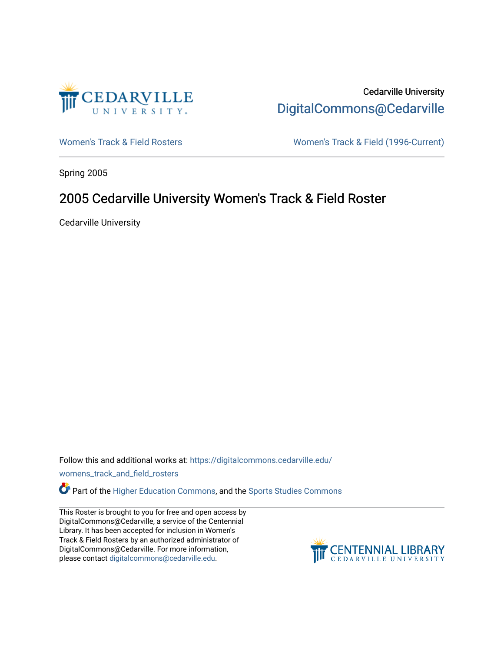

Cedarville University [DigitalCommons@Cedarville](https://digitalcommons.cedarville.edu/) 

[Women's Track & Field Rosters](https://digitalcommons.cedarville.edu/womens_track_and_field_rosters) Women's Track & Field (1996-Current)

Spring 2005

## 2005 Cedarville University Women's Track & Field Roster

Cedarville University

Follow this and additional works at: [https://digitalcommons.cedarville.edu/](https://digitalcommons.cedarville.edu/womens_track_and_field_rosters?utm_source=digitalcommons.cedarville.edu%2Fwomens_track_and_field_rosters%2F39&utm_medium=PDF&utm_campaign=PDFCoverPages)

[womens\\_track\\_and\\_field\\_rosters](https://digitalcommons.cedarville.edu/womens_track_and_field_rosters?utm_source=digitalcommons.cedarville.edu%2Fwomens_track_and_field_rosters%2F39&utm_medium=PDF&utm_campaign=PDFCoverPages) 

**C** Part of the [Higher Education Commons,](http://network.bepress.com/hgg/discipline/1245?utm_source=digitalcommons.cedarville.edu%2Fwomens_track_and_field_rosters%2F39&utm_medium=PDF&utm_campaign=PDFCoverPages) and the Sports Studies Commons

This Roster is brought to you for free and open access by DigitalCommons@Cedarville, a service of the Centennial Library. It has been accepted for inclusion in Women's Track & Field Rosters by an authorized administrator of DigitalCommons@Cedarville. For more information, please contact [digitalcommons@cedarville.edu](mailto:digitalcommons@cedarville.edu).